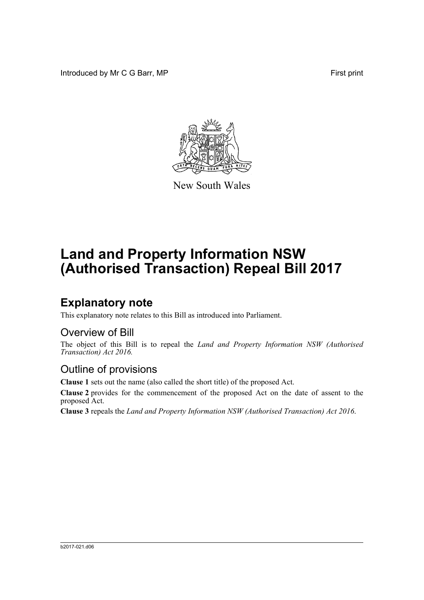Introduced by Mr C G Barr, MP First print



New South Wales

# **Land and Property Information NSW (Authorised Transaction) Repeal Bill 2017**

## **Explanatory note**

This explanatory note relates to this Bill as introduced into Parliament.

#### Overview of Bill

The object of this Bill is to repeal the *Land and Property Information NSW (Authorised Transaction) Act 2016.*

#### Outline of provisions

**Clause 1** sets out the name (also called the short title) of the proposed Act.

**Clause 2** provides for the commencement of the proposed Act on the date of assent to the proposed Act.

**Clause 3** repeals the *Land and Property Information NSW (Authorised Transaction) Act 2016*.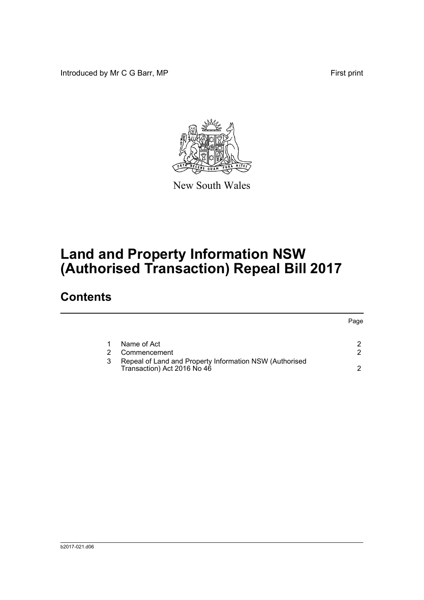Introduced by Mr C G Barr, MP First print



New South Wales

# **Land and Property Information NSW (Authorised Transaction) Repeal Bill 2017**

### **Contents**

|                                                                                        | Page |
|----------------------------------------------------------------------------------------|------|
| Name of Act                                                                            |      |
| Commencement                                                                           | ົ    |
| Repeal of Land and Property Information NSW (Authorised<br>Transaction) Act 2016 No 46 |      |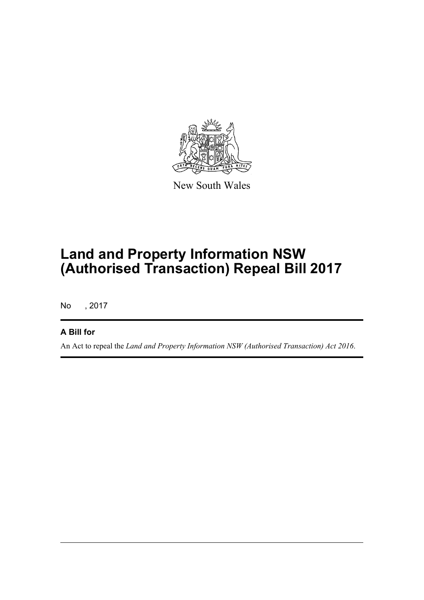

New South Wales

# **Land and Property Information NSW (Authorised Transaction) Repeal Bill 2017**

No , 2017

#### **A Bill for**

An Act to repeal the *Land and Property Information NSW (Authorised Transaction) Act 2016*.